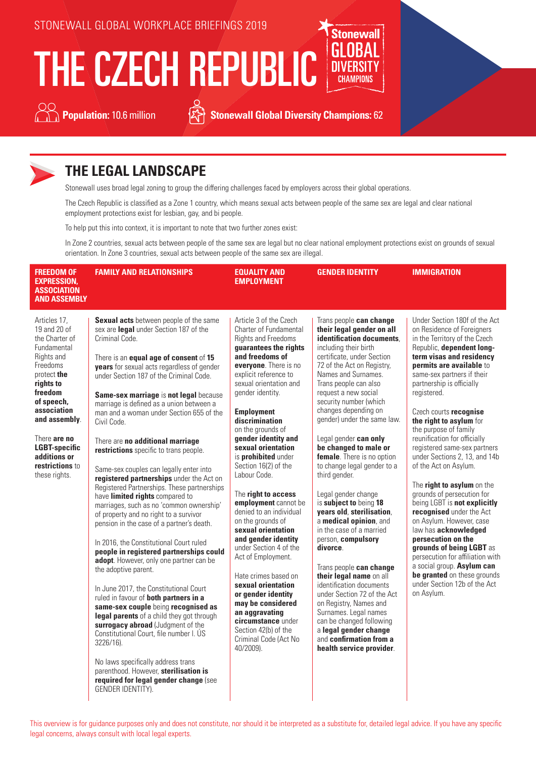# THE CZECH REPUBLIC



**Population:** 10.6 million **Section 19.6** Stonewall Global Diversity Champions: 62

**Stonewall** 



## **THE LEGAL LANDSCAPE**

Stonewall uses broad legal zoning to group the differing challenges faced by employers across their global operations.

The Czech Republic is classified as a Zone 1 country, which means sexual acts between people of the same sex are legal and clear national employment protections exist for lesbian, gay, and bi people.

To help put this into context, it is important to note that two further zones exist:

In Zone 2 countries, sexual acts between people of the same sex are legal but no clear national employment protections exist on grounds of sexual orientation. In Zone 3 countries, sexual acts between people of the same sex are illegal.

| <b>FREEDOM OF</b><br><b>EXPRESSION,</b><br><b>ASSOCIATION</b><br><b>AND ASSEMBLY</b>                                                                                                                                                                                     | <b>FAMILY AND RELATIONSHIPS</b>                                                                                                                                                                                                                                                                                                                                                                                                                                                                                                                                                                                                                                                                                                                                                                                                                                                                                                                                                                                                                                                                                                                                                                                                                                                                                                                                   | <b>EQUALITY AND</b><br><b>EMPLOYMENT</b>                                                                                                                                                                                                                                                                                                                                                                                                                                                                                                                                                                                                                                                                                                                                                             | <b>GENDER IDENTITY</b>                                                                                                                                                                                                                                                                                                                                                                                                                                                                                                                                                                                                                                                                                                                                                                                                                                                                                                | <b>IMMIGRATION</b>                                                                                                                                                                                                                                                                                                                                                                                                                                                                                                                                                                                                                                                                                                                                                                                                                               |
|--------------------------------------------------------------------------------------------------------------------------------------------------------------------------------------------------------------------------------------------------------------------------|-------------------------------------------------------------------------------------------------------------------------------------------------------------------------------------------------------------------------------------------------------------------------------------------------------------------------------------------------------------------------------------------------------------------------------------------------------------------------------------------------------------------------------------------------------------------------------------------------------------------------------------------------------------------------------------------------------------------------------------------------------------------------------------------------------------------------------------------------------------------------------------------------------------------------------------------------------------------------------------------------------------------------------------------------------------------------------------------------------------------------------------------------------------------------------------------------------------------------------------------------------------------------------------------------------------------------------------------------------------------|------------------------------------------------------------------------------------------------------------------------------------------------------------------------------------------------------------------------------------------------------------------------------------------------------------------------------------------------------------------------------------------------------------------------------------------------------------------------------------------------------------------------------------------------------------------------------------------------------------------------------------------------------------------------------------------------------------------------------------------------------------------------------------------------------|-----------------------------------------------------------------------------------------------------------------------------------------------------------------------------------------------------------------------------------------------------------------------------------------------------------------------------------------------------------------------------------------------------------------------------------------------------------------------------------------------------------------------------------------------------------------------------------------------------------------------------------------------------------------------------------------------------------------------------------------------------------------------------------------------------------------------------------------------------------------------------------------------------------------------|--------------------------------------------------------------------------------------------------------------------------------------------------------------------------------------------------------------------------------------------------------------------------------------------------------------------------------------------------------------------------------------------------------------------------------------------------------------------------------------------------------------------------------------------------------------------------------------------------------------------------------------------------------------------------------------------------------------------------------------------------------------------------------------------------------------------------------------------------|
| Articles 17,<br>19 and 20 of<br>the Charter of<br>Fundamental<br>Rights and<br>Freedoms<br>protect the<br>rights to<br>freedom<br>of speech,<br>association<br>and assembly.<br>There are no<br><b>LGBT-specific</b><br>additions or<br>restrictions to<br>these rights. | Sexual acts between people of the same<br>sex are legal under Section 187 of the<br>Criminal Code.<br>There is an equal age of consent of 15<br><b>years</b> for sexual acts regardless of gender<br>under Section 187 of the Criminal Code.<br>Same-sex marriage is not legal because<br>marriage is defined as a union between a<br>man and a woman under Section 655 of the<br>Civil Code.<br>There are no additional marriage<br>restrictions specific to trans people.<br>Same-sex couples can legally enter into<br>registered partnerships under the Act on<br>Registered Partnerships. These partnerships<br>have limited rights compared to<br>marriages, such as no 'common ownership'<br>of property and no right to a survivor<br>pension in the case of a partner's death.<br>In 2016, the Constitutional Court ruled<br>people in registered partnerships could<br>adopt. However, only one partner can be<br>the adoptive parent.<br>In June 2017, the Constitutional Court<br>ruled in favour of both partners in a<br>same-sex couple being recognised as<br>legal parents of a child they got through<br>surrogacy abroad (Judgment of the<br>Constitutional Court, file number I. US<br>3226/16).<br>No laws specifically address trans<br>parenthood. However, sterilisation is<br>required for legal gender change (see<br>GENDER IDENTITY). | Article 3 of the Czech<br>Charter of Fundamental<br><b>Rights and Freedoms</b><br>guarantees the rights<br>and freedoms of<br>everyone. There is no<br>explicit reference to<br>sexual orientation and<br>gender identity.<br><b>Employment</b><br>discrimination<br>on the grounds of<br>gender identity and<br>sexual orientation<br>is <b>prohibited</b> under<br>Section 16(2) of the<br>Labour Code.<br>The right to access<br>employment cannot be<br>denied to an individual<br>on the grounds of<br>sexual orientation<br>and gender identity<br>under Section 4 of the<br>Act of Employment.<br>Hate crimes based on<br>sexual orientation<br>or gender identity<br>may be considered<br>an aggravating<br>circumstance under<br>Section 42(b) of the<br>Criminal Code (Act No<br>40/2009). | Trans people can change<br>their legal gender on all<br>identification documents.<br>including their birth<br>certificate, under Section<br>72 of the Act on Registry,<br>Names and Surnames.<br>Trans people can also<br>request a new social<br>security number (which<br>changes depending on<br>gender) under the same law.<br>Legal gender can only<br>be changed to male or<br>female. There is no option<br>to change legal gender to a<br>third gender.<br>Legal gender change<br>is subject to being 18<br>years old, sterilisation,<br>a medical opinion, and<br>in the case of a married<br>person, compulsory<br>divorce.<br>Trans people can change<br>their legal name on all<br>identification documents<br>under Section 72 of the Act<br>on Registry, Names and<br>Surnames. Legal names<br>can be changed following<br>a legal gender change<br>and confirmation from a<br>health service provider. | Under Section 180f of the Act<br>on Residence of Foreigners<br>in the Territory of the Czech<br>Republic, dependent long-<br>term visas and residency<br>permits are available to<br>same-sex partners if their<br>partnership is officially<br>registered.<br>Czech courts recognise<br>the right to asylum for<br>the purpose of family<br>reunification for officially<br>registered same-sex partners<br>under Sections 2, 13, and 14b<br>of the Act on Asylum.<br>The right to asylum on the<br>grounds of persecution for<br>being LGBT is not explicitly<br>recognised under the Act<br>on Asylum. However, case<br>law has acknowledged<br>persecution on the<br>grounds of being LGBT as<br>persecution for affiliation with<br>a social group. Asylum can<br>be granted on these grounds<br>under Section 12b of the Act<br>on Asylum. |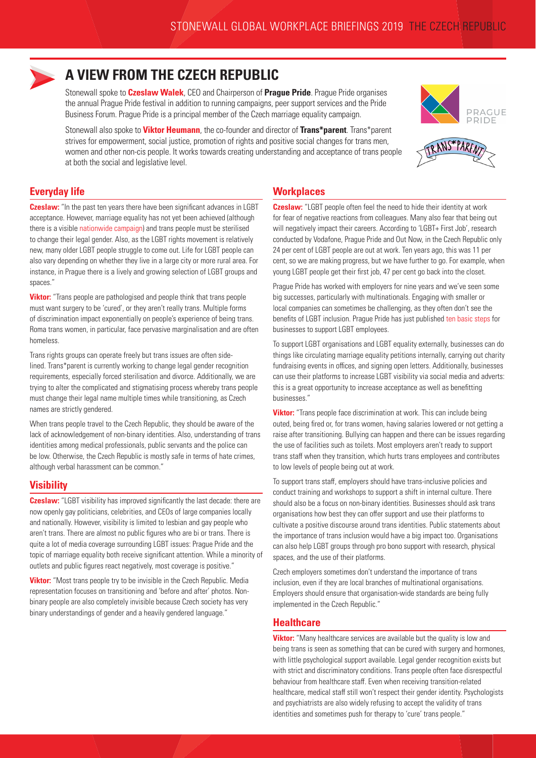

## **A VIEW FROM THE CZECH REPUBLIC**

Stonewall spoke to **Czeslaw Walek**, CEO and Chairperson of **Prague Pride**. Prague Pride organises the annual Prague Pride festival in addition to running campaigns, peer support services and the Pride Business Forum. Prague Pride is a principal member of the Czech marriage equality campaign.

Stonewall also spoke to **Viktor Heumann**, the co-founder and director of **Trans\*parent**. Trans\*parent strives for empowerment, social justice, promotion of rights and positive social changes for trans men, women and other non-cis people. It works towards creating understanding and acceptance of trans people at both the social and legislative level.





#### **Everyday life**

**Czeslaw:** "In the past ten years there have been significant advances in LGBT acceptance. However, marriage equality has not yet been achieved (although there is a visible [nationwide campaign](https://www.jsmefer.cz/)) and trans people must be sterilised to change their legal gender. Also, as the LGBT rights movement is relatively new, many older LGBT people struggle to come out. Life for LGBT people can also vary depending on whether they live in a large city or more rural area. For instance, in Prague there is a lively and growing selection of LGBT groups and spaces."

**Viktor:** "Trans people are pathologised and people think that trans people must want surgery to be 'cured', or they aren't really trans. Multiple forms of discrimination impact exponentially on people's experience of being trans. Roma trans women, in particular, face pervasive marginalisation and are often homeless.

Trans rights groups can operate freely but trans issues are often sidelined. Trans\*parent is currently working to change legal gender recognition requirements, especially forced sterilisation and divorce. Additionally, we are trying to alter the complicated and stigmatising process whereby trans people must change their legal name multiple times while transitioning, as Czech names are strictly gendered.

When trans people travel to the Czech Republic, they should be aware of the lack of acknowledgement of non-binary identities. Also, understanding of trans identities among medical professionals, public servants and the police can be low. Otherwise, the Czech Republic is mostly safe in terms of hate crimes, although verbal harassment can be common."

#### **Visibility**

**Czeslaw:** "LGBT visibility has improved significantly the last decade: there are now openly gay politicians, celebrities, and CEOs of large companies locally and nationally. However, visibility is limited to lesbian and gay people who aren't trans. There are almost no public figures who are bi or trans. There is quite a lot of media coverage surrounding LGBT issues: Prague Pride and the topic of marriage equality both receive significant attention. While a minority of outlets and public figures react negatively, most coverage is positive."

**Viktor:** "Most trans people try to be invisible in the Czech Republic. Media representation focuses on transitioning and 'before and after' photos. Nonbinary people are also completely invisible because Czech society has very binary understandings of gender and a heavily gendered language."

#### **Workplaces**

**Czeslaw:** "LGBT people often feel the need to hide their identity at work for fear of negative reactions from colleagues. Many also fear that being out will negatively impact their careers. According to 'LGBT+ First Job', research conducted by Vodafone, Prague Pride and Out Now, in the Czech Republic only 24 per cent of LGBT people are out at work. Ten years ago, this was 11 per cent, so we are making progress, but we have further to go. For example, when young LGBT people get their first job, 47 per cent go back into the closet.

Prague Pride has worked with employers for nine years and we've seen some big successes, particularly with multinationals. Engaging with smaller or local companies can sometimes be challenging, as they often don't see the benefits of LGBT inclusion. Prague Pride has just published [ten basic steps](https://www.pridebusinessforum.com/commandments.html) for businesses to support LGBT employees.

To support LGBT organisations and LGBT equality externally, businesses can do things like circulating marriage equality petitions internally, carrying out charity fundraising events in offices, and signing open letters. Additionally, businesses can use their platforms to increase LGBT visibility via social media and adverts: this is a great opportunity to increase acceptance as well as benefitting businesses."

**Viktor:** "Trans people face discrimination at work. This can include being outed, being fired or, for trans women, having salaries lowered or not getting a raise after transitioning. Bullying can happen and there can be issues regarding the use of facilities such as toilets. Most employers aren't ready to support trans staff when they transition, which hurts trans employees and contributes to low levels of people being out at work.

To support trans staff, employers should have trans-inclusive policies and conduct training and workshops to support a shift in internal culture. There should also be a focus on non-binary identities. Businesses should ask trans organisations how best they can offer support and use their platforms to cultivate a positive discourse around trans identities. Public statements about the importance of trans inclusion would have a big impact too. Organisations can also help LGBT groups through pro bono support with research, physical spaces, and the use of their platforms.

Czech employers sometimes don't understand the importance of trans inclusion, even if they are local branches of multinational organisations. Employers should ensure that organisation-wide standards are being fully implemented in the Czech Republic."

#### **Healthcare**

**Viktor:** "Many healthcare services are available but the quality is low and being trans is seen as something that can be cured with surgery and hormones, with little psychological support available. Legal gender recognition exists but with strict and discriminatory conditions. Trans people often face disrespectful behaviour from healthcare staff. Even when receiving transition-related healthcare, medical staff still won't respect their gender identity. Psychologists and psychiatrists are also widely refusing to accept the validity of trans identities and sometimes push for therapy to 'cure' trans people."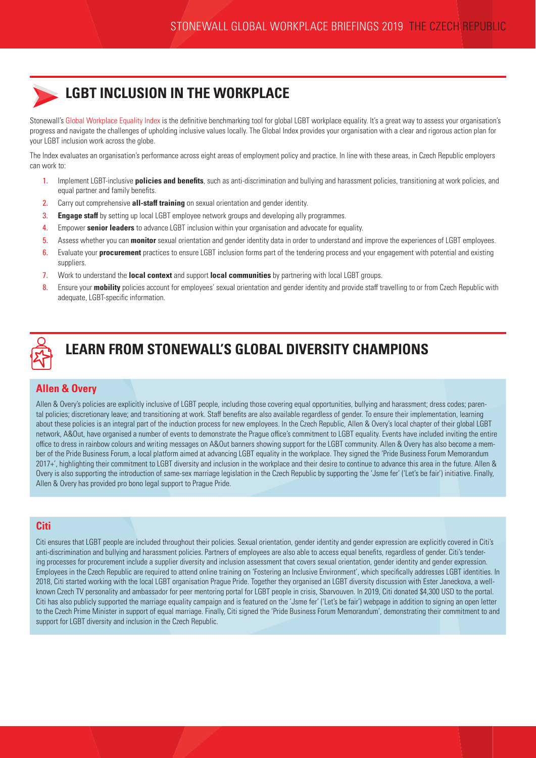

## **LGBT INCLUSION IN THE WORKPLACE**

Stonewall's [Global Workplace Equality Index](https://www.stonewall.org.uk/node/126346) is the definitive benchmarking tool for global LGBT workplace equality. It's a great way to assess your organisation's progress and navigate the challenges of upholding inclusive values locally. The Global Index provides your organisation with a clear and rigorous action plan for your LGBT inclusion work across the globe.

The Index evaluates an organisation's performance across eight areas of employment policy and practice. In line with these areas, in Czech Republic employers can work to:

- 1. Implement LGBT-inclusive **policies and benefits**, such as anti-discrimination and bullying and harassment policies, transitioning at work policies, and equal partner and family benefits.
- 2. Carry out comprehensive **all-staff training** on sexual orientation and gender identity.
- 3. **Engage staff** by setting up local LGBT employee network groups and developing ally programmes.
- 4. Empower **senior leaders** to advance LGBT inclusion within your organisation and advocate for equality.
- 5. Assess whether you can **monitor** sexual orientation and gender identity data in order to understand and improve the experiences of LGBT employees.
- 6. Evaluate your **procurement** practices to ensure LGBT inclusion forms part of the tendering process and your engagement with potential and existing suppliers.
- 7. Work to understand the **local context** and support **local communities** by partnering with local LGBT groups.
- 8. Ensure your **mobility** policies account for employees' sexual orientation and gender identity and provide staff travelling to or from Czech Republic with adequate, LGBT-specific information.



## **LEARN FROM STONEWALL'S GLOBAL DIVERSITY CHAMPIONS**

#### **Allen & Overy**

Allen & Overy's policies are explicitly inclusive of LGBT people, including those covering equal opportunities, bullying and harassment; dress codes; parental policies; discretionary leave; and transitioning at work. Staff benefits are also available regardless of gender. To ensure their implementation, learning about these policies is an integral part of the induction process for new employees. In the Czech Republic, Allen & Overy's local chapter of their global LGBT network, A&Out, have organised a number of events to demonstrate the Prague office's commitment to LGBT equality. Events have included inviting the entire office to dress in rainbow colours and writing messages on A&Out banners showing support for the LGBT community. Allen & Overy has also become a member of the Pride Business Forum, a local platform aimed at advancing LGBT equality in the workplace. They signed the 'Pride Business Forum Memorandum 2017+', highlighting their commitment to LGBT diversity and inclusion in the workplace and their desire to continue to advance this area in the future. Allen & Overy is also supporting the introduction of same-sex marriage legislation in the Czech Republic by supporting the 'Jsme fer' ('Let's be fair') initiative. Finally, Allen & Overy has provided pro bono legal support to Prague Pride.

#### **Citi**

Citi ensures that LGBT people are included throughout their policies. Sexual orientation, gender identity and gender expression are explicitly covered in Citi's anti-discrimination and bullying and harassment policies. Partners of employees are also able to access equal benefits, regardless of gender. Citi's tendering processes for procurement include a supplier diversity and inclusion assessment that covers sexual orientation, gender identity and gender expression. Employees in the Czech Republic are required to attend online training on 'Fostering an Inclusive Environment', which specifically addresses LGBT identities. In 2018, Citi started working with the local LGBT organisation Prague Pride. Together they organised an LGBT diversity discussion with Ester Janeckova, a wellknown Czech TV personality and ambassador for peer mentoring portal for LGBT people in crisis, Sbarvouven. In 2019, Citi donated \$4,300 USD to the portal. Citi has also publicly supported the marriage equality campaign and is featured on the 'Jsme fer' ('Let's be fair') webpage in addition to signing an open letter to the Czech Prime Minister in support of equal marriage. Finally, Citi signed the 'Pride Business Forum Memorandum', demonstrating their commitment to and support for LGBT diversity and inclusion in the Czech Republic.